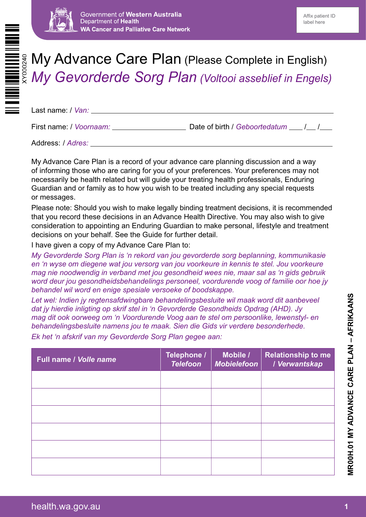



# My Advance Care Plan (Please Complete in English) *My Gevorderde Sorg Plan (Voltooi asseblief in Engels)*

Last name: / *Van:*

First name: / *Voornaam:* Date of birth / *Geboortedatum | | |* 

Address: / *Adres:*

My Advance Care Plan is a record of your advance care planning discussion and a way of informing those who are caring for you of your preferences. Your preferences may not necessarily be health related but will guide your treating health professionals, Enduring Guardian and or family as to how you wish to be treated including any special requests or messages.

Please note: Should you wish to make legally binding treatment decisions, it is recommended that you record these decisions in an Advance Health Directive. You may also wish to give consideration to appointing an Enduring Guardian to make personal, lifestyle and treatment decisions on your behalf. See the Guide for further detail.

I have given a copy of my Advance Care Plan to:

*My Gevorderde Sorg Plan is 'n rekord van jou gevorderde sorg beplanning, kommunikasie en 'n wyse om diegene wat jou versorg van jou voorkeure in kennis te stel. Jou voorkeure mag nie noodwendig in verband met jou gesondheid wees nie, maar sal as 'n gids gebruik word deur jou gesondheidsbehandelings personeel, voordurende voog of familie oor hoe jy behandel wil word en enige spesiale versoeke of boodskappe.*

*Let wel: Indien jy regtensafdwingbare behandelingsbesluite wil maak word dit aanbeveel dat jy hierdie inligting op skrif stel in 'n Gevorderde Gesondheids Opdrag (AHD). Jy mag dit ook oorweeg om 'n Voordurende Voog aan te stel om persoonlike, lewenstyl- en behandelingsbesluite namens jou te maak. Sien die Gids vir verdere besonderhede. Ek het 'n afskrif van my Gevorderde Sorg Plan gegee aan:*

| <b>Full name / Volle name</b> | Telephone /<br><b>Telefoon</b> | Mobile /<br><b>Mobielefoon</b> | <b>Relationship to me</b><br>/ Verwantskap |
|-------------------------------|--------------------------------|--------------------------------|--------------------------------------------|
|                               |                                |                                |                                            |
|                               |                                |                                |                                            |
|                               |                                |                                |                                            |
|                               |                                |                                |                                            |
|                               |                                |                                |                                            |
|                               |                                |                                |                                            |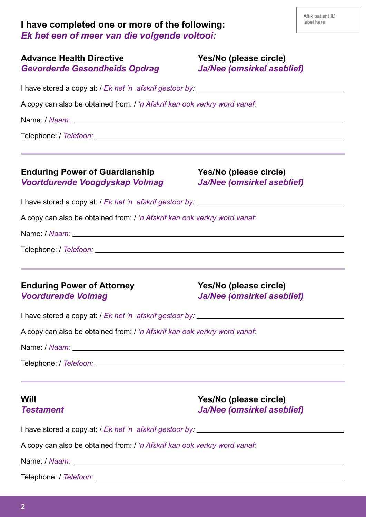| I have completed one or more of the following: |  |
|------------------------------------------------|--|
| Ek het een of meer van die volgende voltooi:   |  |

| <b>Advance Health Directive</b><br><b>Gevorderde Gesondheids Opdrag</b>   | Yes/No (please circle)<br><b>Ja/Nee (omsirkel aseblief)</b>                                                                                                                         |  |  |  |
|---------------------------------------------------------------------------|-------------------------------------------------------------------------------------------------------------------------------------------------------------------------------------|--|--|--|
|                                                                           |                                                                                                                                                                                     |  |  |  |
| A copy can also be obtained from: / 'n Afskrif kan ook verkry word vanaf: |                                                                                                                                                                                     |  |  |  |
|                                                                           |                                                                                                                                                                                     |  |  |  |
| <b>Enduring Power of Guardianship</b><br>Voortdurende Voogdyskap Volmag   | Yes/No (please circle)<br><b>Ja/Nee (omsirkel aseblief)</b>                                                                                                                         |  |  |  |
|                                                                           |                                                                                                                                                                                     |  |  |  |
| A copy can also be obtained from: / 'n Afskrif kan ook verkry word vanaf: |                                                                                                                                                                                     |  |  |  |
|                                                                           |                                                                                                                                                                                     |  |  |  |
|                                                                           |                                                                                                                                                                                     |  |  |  |
| <b>Enduring Power of Attorney</b><br><b>Voordurende Volmag</b>            | Yes/No (please circle)<br><b>Ja/Nee (omsirkel aseblief)</b>                                                                                                                         |  |  |  |
|                                                                           |                                                                                                                                                                                     |  |  |  |
| A copy can also be obtained from: / 'n Afskrif kan ook verkry word vanaf: |                                                                                                                                                                                     |  |  |  |
|                                                                           |                                                                                                                                                                                     |  |  |  |
|                                                                           |                                                                                                                                                                                     |  |  |  |
| Will<br><b>Testament</b>                                                  | <u> 1989 - Andrea Santana, amerikana menyebarkan banyak di sebagai banyak di sebagai banyak di sebagai banyak di</u><br>Yes/No (please circle)<br><b>Ja/Nee (omsirkel aseblief)</b> |  |  |  |
|                                                                           |                                                                                                                                                                                     |  |  |  |
| A copy can also be obtained from: / 'n Afskrif kan ook verkry word vanaf: |                                                                                                                                                                                     |  |  |  |
|                                                                           |                                                                                                                                                                                     |  |  |  |
|                                                                           |                                                                                                                                                                                     |  |  |  |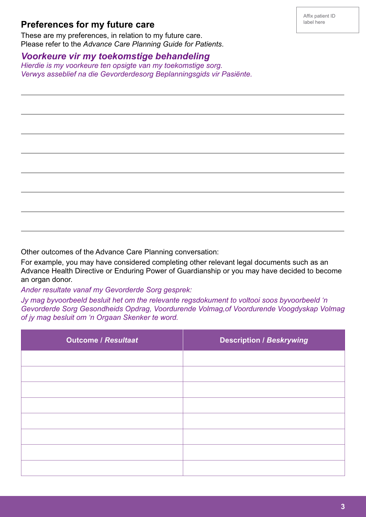## **Preferences for my future care**

 $\overline{a}$ 

 $\overline{a}$ 

 $\overline{a}$ 

 $\overline{a}$ 

 $\overline{a}$ 

 $\overline{a}$ 

 $\overline{a}$ 

These are my preferences, in relation to my future care. Please refer to the *Advance Care Planning Guide for Patients*.

#### *Voorkeure vir my toekomstige behandeling*

*Hierdie is my voorkeure ten opsigte van my toekomstige sorg. Verwys asseblief na die Gevorderdesorg Beplanningsgids vir Pasiënte.*

Other outcomes of the Advance Care Planning conversation:

For example, you may have considered completing other relevant legal documents such as an Advance Health Directive or Enduring Power of Guardianship or you may have decided to become an organ donor.

*Ander resultate vanaf my Gevorderde Sorg gesprek:*

*Jy mag byvoorbeeld besluit het om the relevante regsdokument to voltooi soos byvoorbeeld 'n Gevorderde Sorg Gesondheids Opdrag, Voordurende Volmag,of Voordurende Voogdyskap Volmag of jy mag besluit om 'n Orgaan Skenker te word.*

| <b>Outcome / Resultaat</b> | <b>Description / Beskrywing</b> |
|----------------------------|---------------------------------|
|                            |                                 |
|                            |                                 |
|                            |                                 |
|                            |                                 |
|                            |                                 |
|                            |                                 |
|                            |                                 |
|                            |                                 |